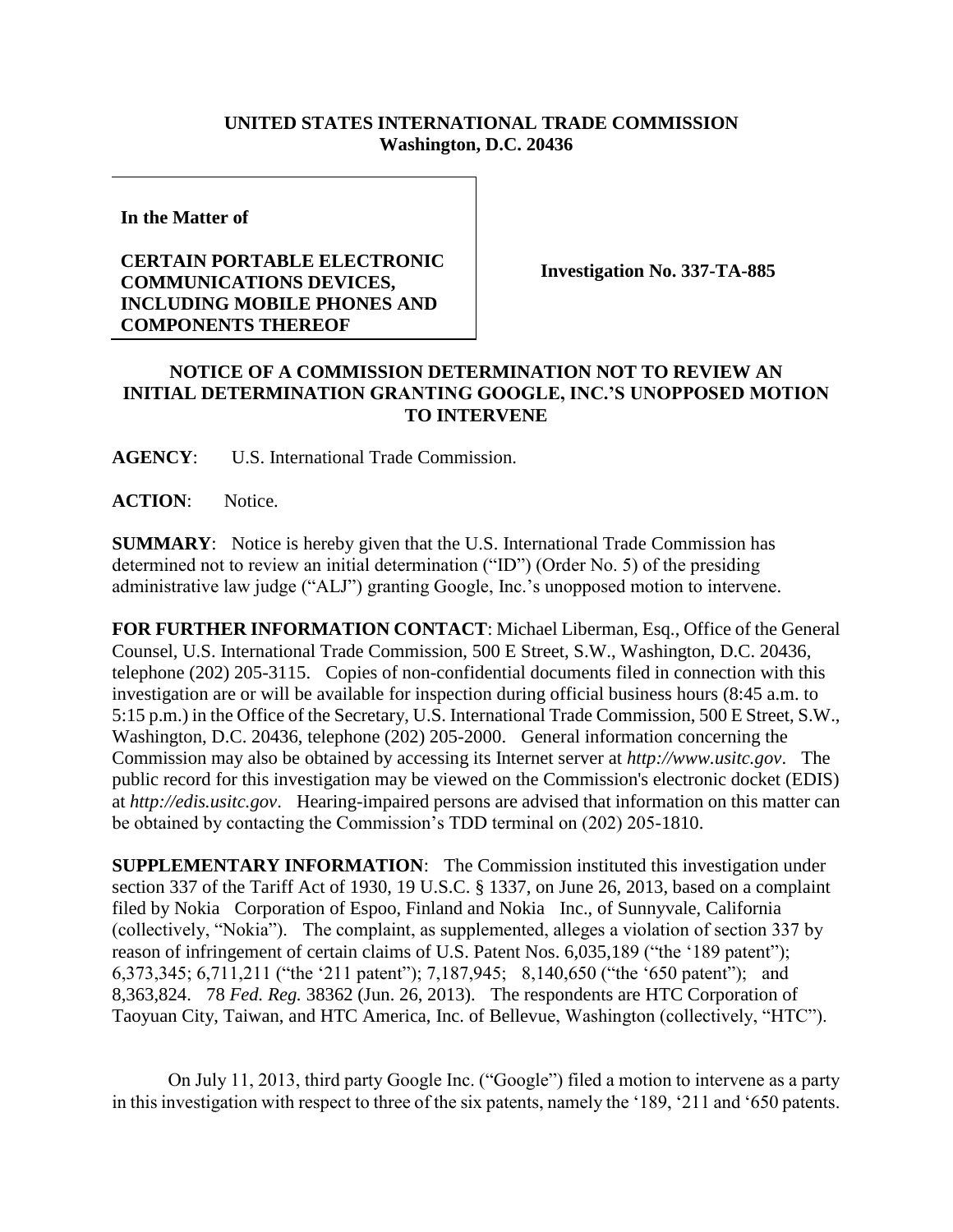## **UNITED STATES INTERNATIONAL TRADE COMMISSION Washington, D.C. 20436**

**In the Matter of** 

## **CERTAIN PORTABLE ELECTRONIC COMMUNICATIONS DEVICES, INCLUDING MOBILE PHONES AND COMPONENTS THEREOF**

**Investigation No. 337-TA-885**

## **NOTICE OF A COMMISSION DETERMINATION NOT TO REVIEW AN INITIAL DETERMINATION GRANTING GOOGLE, INC.'S UNOPPOSED MOTION TO INTERVENE**

**AGENCY**: U.S. International Trade Commission.

**ACTION**: Notice.

**SUMMARY**: Notice is hereby given that the U.S. International Trade Commission has determined not to review an initial determination ("ID") (Order No. 5) of the presiding administrative law judge ("ALJ") granting Google, Inc.'s unopposed motion to intervene.

**FOR FURTHER INFORMATION CONTACT**: Michael Liberman, Esq., Office of the General Counsel, U.S. International Trade Commission, 500 E Street, S.W., Washington, D.C. 20436, telephone (202) 205-3115. Copies of non-confidential documents filed in connection with this investigation are or will be available for inspection during official business hours (8:45 a.m. to 5:15 p.m.) in the Office of the Secretary, U.S. International Trade Commission, 500 E Street, S.W., Washington, D.C. 20436, telephone (202) 205-2000. General information concerning the Commission may also be obtained by accessing its Internet server at *http://www.usitc.gov*. The public record for this investigation may be viewed on the Commission's electronic docket (EDIS) at *http://edis.usitc.gov*. Hearing-impaired persons are advised that information on this matter can be obtained by contacting the Commission's TDD terminal on (202) 205-1810.

**SUPPLEMENTARY INFORMATION**: The Commission instituted this investigation under section 337 of the Tariff Act of 1930, 19 U.S.C. § 1337, on June 26, 2013, based on a complaint filed by Nokia Corporation of Espoo, Finland and Nokia Inc., of Sunnyvale, California (collectively, "Nokia"). The complaint, as supplemented, alleges a violation of section 337 by reason of infringement of certain claims of U.S. Patent Nos. 6,035,189 ("the '189 patent"); 6,373,345; 6,711,211 ("the '211 patent"); 7,187,945; 8,140,650 ("the '650 patent"); and 8,363,824. 78 *Fed. Reg.* 38362 (Jun. 26, 2013). The respondents are HTC Corporation of Taoyuan City, Taiwan, and HTC America, Inc. of Bellevue, Washington (collectively, "HTC").

On July 11, 2013, third party Google Inc. ("Google") filed a motion to intervene as a party in this investigation with respect to three of the six patents, namely the '189, '211 and '650 patents.